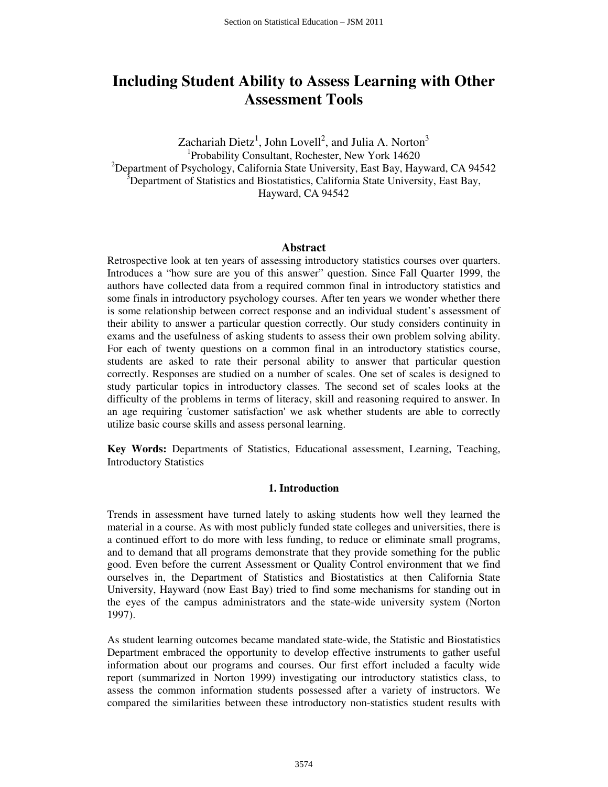# **Including Student Ability to Assess Learning with Other Assessment Tools**

Zachariah Dietz<sup>1</sup>, John Lovell<sup>2</sup>, and Julia A. Norton<sup>3</sup> 1 Probability Consultant, Rochester, New York 14620 <sup>2</sup>Department of Psychology, California State University, East Bay, Hayward, CA 94542  $\delta$ Department of Statistics and Biostatistics, California State University, East Bay, Hayward, CA 94542

#### **Abstract**

Retrospective look at ten years of assessing introductory statistics courses over quarters. Introduces a "how sure are you of this answer" question. Since Fall Quarter 1999, the authors have collected data from a required common final in introductory statistics and some finals in introductory psychology courses. After ten years we wonder whether there is some relationship between correct response and an individual student's assessment of their ability to answer a particular question correctly. Our study considers continuity in exams and the usefulness of asking students to assess their own problem solving ability. For each of twenty questions on a common final in an introductory statistics course, students are asked to rate their personal ability to answer that particular question correctly. Responses are studied on a number of scales. One set of scales is designed to study particular topics in introductory classes. The second set of scales looks at the difficulty of the problems in terms of literacy, skill and reasoning required to answer. In an age requiring 'customer satisfaction' we ask whether students are able to correctly utilize basic course skills and assess personal learning.

**Key Words:** Departments of Statistics, Educational assessment, Learning, Teaching, Introductory Statistics

### **1. Introduction**

Trends in assessment have turned lately to asking students how well they learned the material in a course. As with most publicly funded state colleges and universities, there is a continued effort to do more with less funding, to reduce or eliminate small programs, and to demand that all programs demonstrate that they provide something for the public good. Even before the current Assessment or Quality Control environment that we find ourselves in, the Department of Statistics and Biostatistics at then California State University, Hayward (now East Bay) tried to find some mechanisms for standing out in the eyes of the campus administrators and the state-wide university system (Norton 1997).

As student learning outcomes became mandated state-wide, the Statistic and Biostatistics Department embraced the opportunity to develop effective instruments to gather useful information about our programs and courses. Our first effort included a faculty wide report (summarized in Norton 1999) investigating our introductory statistics class, to assess the common information students possessed after a variety of instructors. We compared the similarities between these introductory non-statistics student results with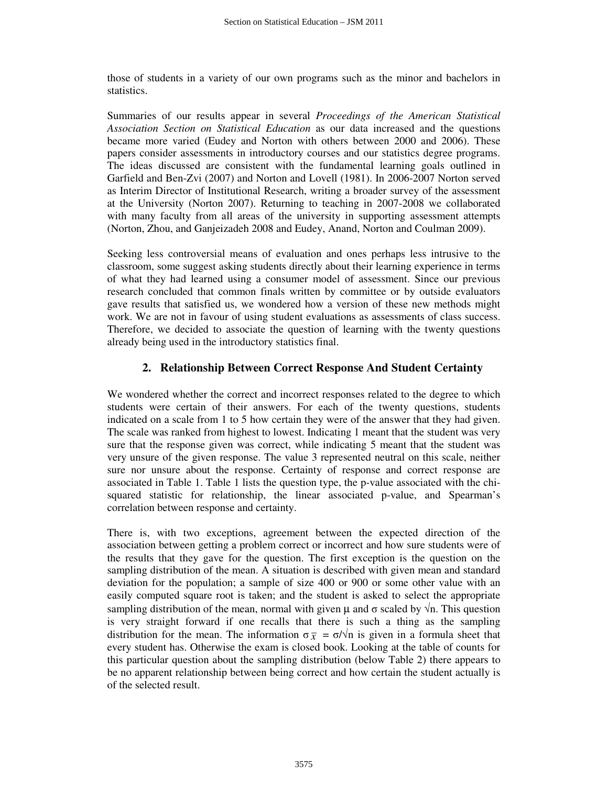those of students in a variety of our own programs such as the minor and bachelors in statistics.

Summaries of our results appear in several *Proceedings of the American Statistical Association Section on Statistical Education* as our data increased and the questions became more varied (Eudey and Norton with others between 2000 and 2006). These papers consider assessments in introductory courses and our statistics degree programs. The ideas discussed are consistent with the fundamental learning goals outlined in Garfield and Ben-Zvi (2007) and Norton and Lovell (1981). In 2006-2007 Norton served as Interim Director of Institutional Research, writing a broader survey of the assessment at the University (Norton 2007). Returning to teaching in 2007-2008 we collaborated with many faculty from all areas of the university in supporting assessment attempts (Norton, Zhou, and Ganjeizadeh 2008 and Eudey, Anand, Norton and Coulman 2009).

Seeking less controversial means of evaluation and ones perhaps less intrusive to the classroom, some suggest asking students directly about their learning experience in terms of what they had learned using a consumer model of assessment. Since our previous research concluded that common finals written by committee or by outside evaluators gave results that satisfied us, we wondered how a version of these new methods might work. We are not in favour of using student evaluations as assessments of class success. Therefore, we decided to associate the question of learning with the twenty questions already being used in the introductory statistics final.

## **2. Relationship Between Correct Response And Student Certainty**

We wondered whether the correct and incorrect responses related to the degree to which students were certain of their answers. For each of the twenty questions, students indicated on a scale from 1 to 5 how certain they were of the answer that they had given. The scale was ranked from highest to lowest. Indicating 1 meant that the student was very sure that the response given was correct, while indicating 5 meant that the student was very unsure of the given response. The value 3 represented neutral on this scale, neither sure nor unsure about the response. Certainty of response and correct response are associated in Table 1. Table 1 lists the question type, the p-value associated with the chisquared statistic for relationship, the linear associated p-value, and Spearman's correlation between response and certainty.

There is, with two exceptions, agreement between the expected direction of the association between getting a problem correct or incorrect and how sure students were of the results that they gave for the question. The first exception is the question on the sampling distribution of the mean. A situation is described with given mean and standard deviation for the population; a sample of size 400 or 900 or some other value with an easily computed square root is taken; and the student is asked to select the appropriate sampling distribution of the mean, normal with given  $\mu$  and  $\sigma$  scaled by  $\sqrt{n}$ . This question is very straight forward if one recalls that there is such a thing as the sampling distribution for the mean. The information  $\sigma_{\overline{x}} = \sigma/\sqrt{n}$  is given in a formula sheet that every student has. Otherwise the exam is closed book. Looking at the table of counts for this particular question about the sampling distribution (below Table 2) there appears to be no apparent relationship between being correct and how certain the student actually is of the selected result.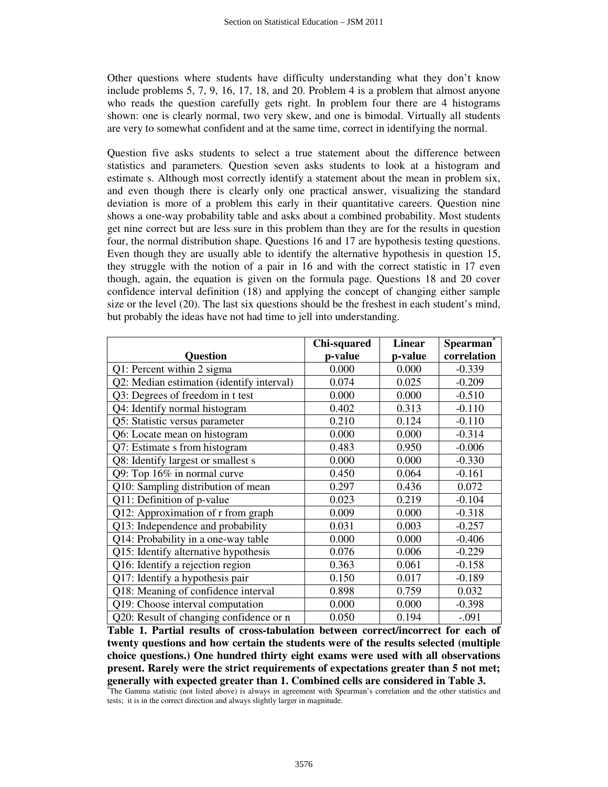Other questions where students have difficulty understanding what they don't know include problems 5, 7, 9, 16, 17, 18, and 20. Problem 4 is a problem that almost anyone who reads the question carefully gets right. In problem four there are 4 histograms shown: one is clearly normal, two very skew, and one is bimodal. Virtually all students are very to somewhat confident and at the same time, correct in identifying the normal.

Question five asks students to select a true statement about the difference between statistics and parameters. Question seven asks students to look at a histogram and estimate s. Although most correctly identify a statement about the mean in problem six, and even though there is clearly only one practical answer, visualizing the standard deviation is more of a problem this early in their quantitative careers. Question nine shows a one-way probability table and asks about a combined probability. Most students get nine correct but are less sure in this problem than they are for the results in question four, the normal distribution shape. Questions 16 and 17 are hypothesis testing questions. Even though they are usually able to identify the alternative hypothesis in question 15, they struggle with the notion of a pair in 16 and with the correct statistic in 17 even though, again, the equation is given on the formula page. Questions 18 and 20 cover confidence interval definition (18) and applying the concept of changing either sample size or the level (20). The last six questions should be the freshest in each student's mind, but probably the ideas have not had time to jell into understanding.

|                                           | Chi-squared | <b>Linear</b> | <b>Spearman</b> |
|-------------------------------------------|-------------|---------------|-----------------|
| <b>Question</b>                           | p-value     | p-value       | correlation     |
| Q1: Percent within 2 sigma                | 0.000       | 0.000         | $-0.339$        |
| Q2: Median estimation (identify interval) | 0.074       | 0.025         | $-0.209$        |
| Q3: Degrees of freedom in t test          | 0.000       | 0.000         | $-0.510$        |
| Q4: Identify normal histogram             | 0.402       | 0.313         | $-0.110$        |
| Q5: Statistic versus parameter            | 0.210       | 0.124         | $-0.110$        |
| Q6: Locate mean on histogram              | 0.000       | 0.000         | $-0.314$        |
| Q7: Estimate s from histogram             | 0.483       | 0.950         | $-0.006$        |
| Q8: Identify largest or smallest s        | 0.000       | 0.000         | $-0.330$        |
| Q9: Top 16% in normal curve               | 0.450       | 0.064         | $-0.161$        |
| Q10: Sampling distribution of mean        | 0.297       | 0.436         | 0.072           |
| $\overline{Q1}$ 1: Definition of p-value  | 0.023       | 0.219         | $-0.104$        |
| Q12: Approximation of r from graph        | 0.009       | 0.000         | $-0.318$        |
| Q13: Independence and probability         | 0.031       | 0.003         | $-0.257$        |
| Q14: Probability in a one-way table       | 0.000       | 0.000         | $-0.406$        |
| Q15: Identify alternative hypothesis      | 0.076       | 0.006         | $-0.229$        |
| Q16: Identify a rejection region          | 0.363       | 0.061         | $-0.158$        |
| Q17: Identify a hypothesis pair           | 0.150       | 0.017         | $-0.189$        |
| Q18: Meaning of confidence interval       | 0.898       | 0.759         | 0.032           |
| Q19: Choose interval computation          | 0.000       | 0.000         | $-0.398$        |
| Q20: Result of changing confidence or n   | 0.050       | 0.194         | $-.091$         |

**Table 1. Partial results of cross-tabulation between correct/incorrect for each of twenty questions and how certain the students were of the results selected (multiple choice questions.) One hundred thirty eight exams were used with all observations present. Rarely were the strict requirements of expectations greater than 5 not met; generally with expected greater than 1. Combined cells are considered in Table 3.** 

**\***The Gamma statistic (not listed above) is always in agreement with Spearman's correlation and the other statistics and tests; it is in the correct direction and always slightly larger in magnitude.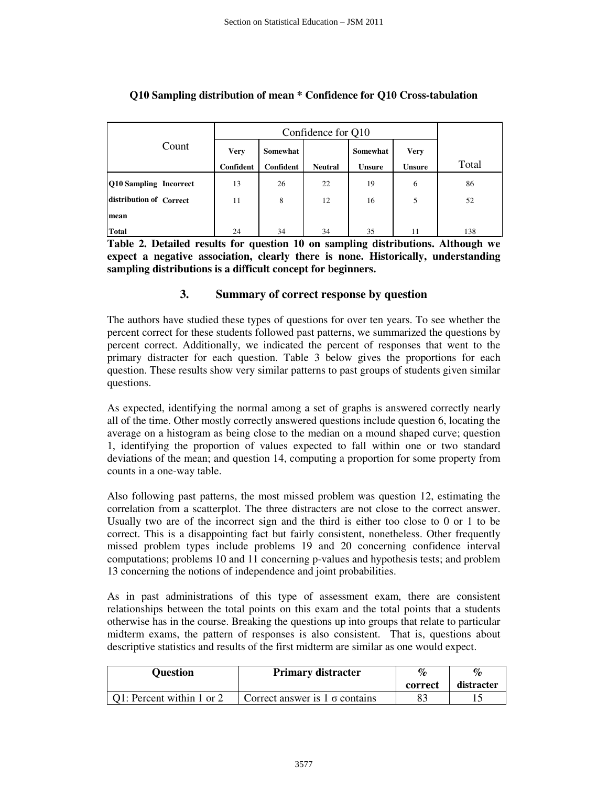|                               | Confidence for Q10 |           |                |               |               |       |
|-------------------------------|--------------------|-----------|----------------|---------------|---------------|-------|
| Count                         | <b>Very</b>        | Somewhat  |                | Somewhat      | <b>Very</b>   |       |
|                               | Confident          | Confident | <b>Neutral</b> | <b>Unsure</b> | <b>Unsure</b> | Total |
| <b>Q10 Sampling Incorrect</b> | 13                 | 26        | 22             | 19            | 6             | 86    |
| distribution of Correct       | 11                 | 8         | 12             | 16            | 5             | 52    |
| mean                          |                    |           |                |               |               |       |
| <b>Total</b>                  | 24                 | 34        | 34             | 35            | 11            | 138   |

# **Q10 Sampling distribution of mean \* Confidence for Q10 Cross-tabulation**

**Table 2. Detailed results for question 10 on sampling distributions. Although we expect a negative association, clearly there is none. Historically, understanding sampling distributions is a difficult concept for beginners.** 

## **3. Summary of correct response by question**

The authors have studied these types of questions for over ten years. To see whether the percent correct for these students followed past patterns, we summarized the questions by percent correct. Additionally, we indicated the percent of responses that went to the primary distracter for each question. Table 3 below gives the proportions for each question. These results show very similar patterns to past groups of students given similar questions.

As expected, identifying the normal among a set of graphs is answered correctly nearly all of the time. Other mostly correctly answered questions include question 6, locating the average on a histogram as being close to the median on a mound shaped curve; question 1, identifying the proportion of values expected to fall within one or two standard deviations of the mean; and question 14, computing a proportion for some property from counts in a one-way table.

Also following past patterns, the most missed problem was question 12, estimating the correlation from a scatterplot. The three distracters are not close to the correct answer. Usually two are of the incorrect sign and the third is either too close to 0 or 1 to be correct. This is a disappointing fact but fairly consistent, nonetheless. Other frequently missed problem types include problems 19 and 20 concerning confidence interval computations; problems 10 and 11 concerning p-values and hypothesis tests; and problem 13 concerning the notions of independence and joint probabilities.

As in past administrations of this type of assessment exam, there are consistent relationships between the total points on this exam and the total points that a students otherwise has in the course. Breaking the questions up into groups that relate to particular midterm exams, the pattern of responses is also consistent. That is, questions about descriptive statistics and results of the first midterm are similar as one would expect.

| <b>Question</b>           | <b>Primary distracter</b>             | $\mathcal{O}_\mathcal{D}$ | $\mathcal{O}_{\mathcal{L}}$ |
|---------------------------|---------------------------------------|---------------------------|-----------------------------|
|                           |                                       | correct                   | distracter                  |
| Q1: Percent within 1 or 2 | Correct answer is $1 \sigma$ contains |                           |                             |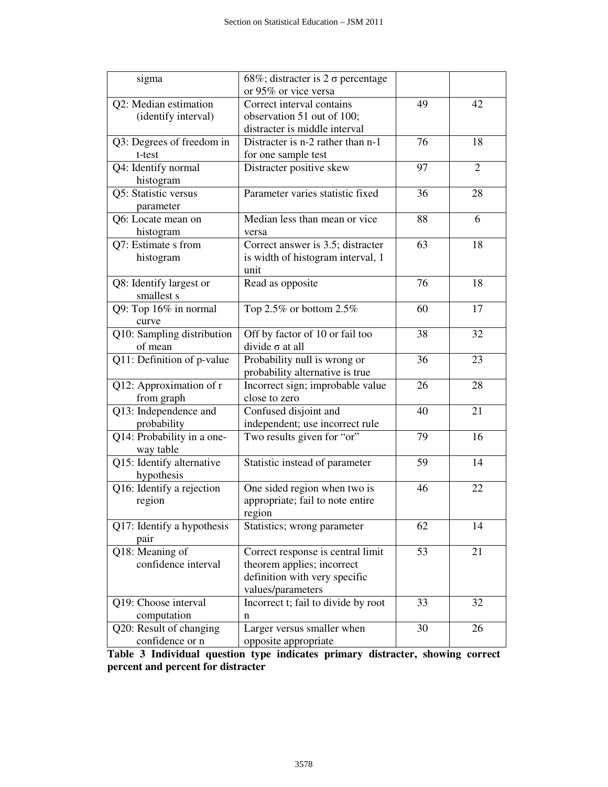| sigma                                              | 68%; distracter is $2 \sigma$ percentage |    |                |
|----------------------------------------------------|------------------------------------------|----|----------------|
|                                                    | or 95% or vice versa                     |    |                |
| Q2: Median estimation<br>Correct interval contains |                                          | 49 | 42             |
| (identify interval)                                | observation 51 out of 100;               |    |                |
|                                                    | distracter is middle interval            |    |                |
| Q3: Degrees of freedom in                          | Distracter is n-2 rather than n-1        | 76 | 18             |
| t-test                                             | for one sample test                      |    |                |
| Q4: Identify normal                                | Distracter positive skew                 | 97 | $\overline{2}$ |
| histogram                                          |                                          |    |                |
| Q5: Statistic versus                               | Parameter varies statistic fixed         | 36 | 28             |
| parameter                                          |                                          |    |                |
| Q6: Locate mean on                                 | Median less than mean or vice            | 88 | 6              |
| histogram                                          | versa                                    |    |                |
| Q7: Estimate s from                                | Correct answer is 3.5; distracter        | 63 | 18             |
| histogram                                          | is width of histogram interval, 1        |    |                |
|                                                    | unit                                     |    |                |
| Q8: Identify largest or                            | Read as opposite                         | 76 | 18             |
| smallest s                                         |                                          |    |                |
| Q9: Top 16% in normal                              | Top 2.5% or bottom $2.5\%$               | 60 | 17             |
| curve                                              |                                          |    |                |
| Q10: Sampling distribution                         | Off by factor of 10 or fail too          | 38 | 32             |
| of mean                                            | divide $\sigma$ at all                   |    |                |
| Q11: Definition of p-value                         | Probability null is wrong or             | 36 | 23             |
|                                                    |                                          |    |                |
|                                                    | probability alternative is true          |    |                |
| Q12: Approximation of r                            | Incorrect sign; improbable value         | 26 | 28             |
| from graph                                         | close to zero                            |    |                |
| Q13: Independence and                              | Confused disjoint and                    | 40 | 21             |
| probability                                        | independent; use incorrect rule          |    |                |
| Q14: Probability in a one-                         | Two results given for "or"               | 79 | 16             |
| way table                                          |                                          |    |                |
| Q15: Identify alternative                          | Statistic instead of parameter           | 59 | 14             |
| hypothesis                                         |                                          |    |                |
| Q16: Identify a rejection                          | One sided region when two is             | 46 | 22             |
| region                                             | appropriate; fail to note entire         |    |                |
|                                                    | region                                   |    |                |
| Q17: Identify a hypothesis                         | Statistics; wrong parameter              | 62 | 14             |
| pair                                               |                                          |    |                |
| Q18: Meaning of                                    | Correct response is central limit        | 53 | 21             |
| confidence interval                                | theorem applies; incorrect               |    |                |
|                                                    | definition with very specific            |    |                |
|                                                    | values/parameters                        |    |                |
| Q19: Choose interval                               | Incorrect t; fail to divide by root      | 33 | 32             |
| computation                                        | n                                        |    |                |
| Q20: Result of changing                            | Larger versus smaller when               | 30 | 26             |
| confidence or n                                    | opposite appropriate                     |    |                |

**Table 3 Individual question type indicates primary distracter, showing correct percent and percent for distracter**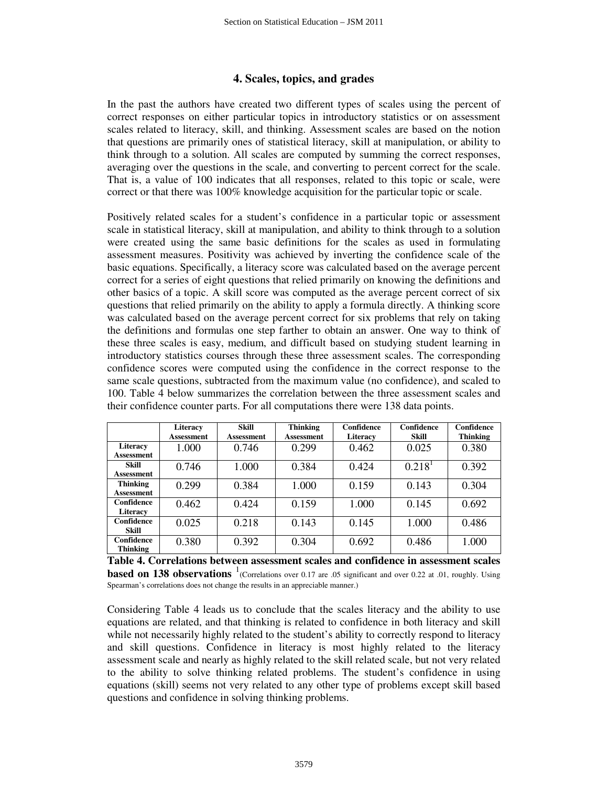### **4. Scales, topics, and grades**

In the past the authors have created two different types of scales using the percent of correct responses on either particular topics in introductory statistics or on assessment scales related to literacy, skill, and thinking. Assessment scales are based on the notion that questions are primarily ones of statistical literacy, skill at manipulation, or ability to think through to a solution. All scales are computed by summing the correct responses, averaging over the questions in the scale, and converting to percent correct for the scale. That is, a value of 100 indicates that all responses, related to this topic or scale, were correct or that there was 100% knowledge acquisition for the particular topic or scale.

Positively related scales for a student's confidence in a particular topic or assessment scale in statistical literacy, skill at manipulation, and ability to think through to a solution were created using the same basic definitions for the scales as used in formulating assessment measures. Positivity was achieved by inverting the confidence scale of the basic equations. Specifically, a literacy score was calculated based on the average percent correct for a series of eight questions that relied primarily on knowing the definitions and other basics of a topic. A skill score was computed as the average percent correct of six questions that relied primarily on the ability to apply a formula directly. A thinking score was calculated based on the average percent correct for six problems that rely on taking the definitions and formulas one step farther to obtain an answer. One way to think of these three scales is easy, medium, and difficult based on studying student learning in introductory statistics courses through these three assessment scales. The corresponding confidence scores were computed using the confidence in the correct response to the same scale questions, subtracted from the maximum value (no confidence), and scaled to 100. Table 4 below summarizes the correlation between the three assessment scales and their confidence counter parts. For all computations there were 138 data points.

|                               | Literacy<br><b>Assessment</b> | <b>Skill</b><br><b>Assessment</b> | <b>Thinking</b><br><b>Assessment</b> | Confidence<br>Literacy | Confidence<br><b>Skill</b> | Confidence<br><b>Thinking</b> |
|-------------------------------|-------------------------------|-----------------------------------|--------------------------------------|------------------------|----------------------------|-------------------------------|
| Literacy<br>Assessment        | 1.000                         | 0.746                             | 0.299                                | 0.462                  | 0.025                      | 0.380                         |
| Skill<br>Assessment           | 0.746                         | 1.000                             | 0.384                                | 0.424                  | 0.218 <sup>1</sup>         | 0.392                         |
| <b>Thinking</b><br>Assessment | 0.299                         | 0.384                             | 1.000                                | 0.159                  | 0.143                      | 0.304                         |
| Confidence<br>Literacy        | 0.462                         | 0.424                             | 0.159                                | 1.000                  | 0.145                      | 0.692                         |
| Confidence<br><b>Skill</b>    | 0.025                         | 0.218                             | 0.143                                | 0.145                  | 1.000                      | 0.486                         |
| Confidence<br>Thinking        | 0.380                         | 0.392                             | 0.304                                | 0.692                  | 0.486                      | 1.000                         |

**Table 4. Correlations between assessment scales and confidence in assessment scales based on 138 observations** <sup>1</sup> (Correlations over 0.17 are .05 significant and over 0.22 at .01, roughly. Using Spearman's correlations does not change the results in an appreciable manner.)

Considering Table 4 leads us to conclude that the scales literacy and the ability to use equations are related, and that thinking is related to confidence in both literacy and skill while not necessarily highly related to the student's ability to correctly respond to literacy and skill questions. Confidence in literacy is most highly related to the literacy assessment scale and nearly as highly related to the skill related scale, but not very related to the ability to solve thinking related problems. The student's confidence in using equations (skill) seems not very related to any other type of problems except skill based questions and confidence in solving thinking problems.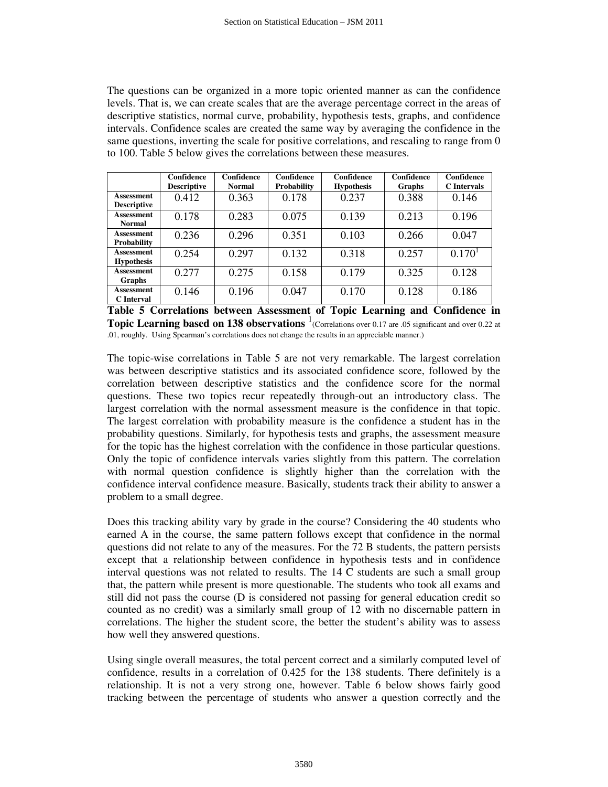The questions can be organized in a more topic oriented manner as can the confidence levels. That is, we can create scales that are the average percentage correct in the areas of descriptive statistics, normal curve, probability, hypothesis tests, graphs, and confidence intervals. Confidence scales are created the same way by averaging the confidence in the same questions, inverting the scale for positive correlations, and rescaling to range from 0 to 100. Table 5 below gives the correlations between these measures.

|                                        | Confidence<br><b>Descriptive</b> | Confidence<br><b>Normal</b> | Confidence<br><b>Probability</b> | Confidence<br><b>Hypothesis</b> | Confidence<br>Graphs | Confidence<br><b>C</b> Intervals |
|----------------------------------------|----------------------------------|-----------------------------|----------------------------------|---------------------------------|----------------------|----------------------------------|
| Assessment<br><b>Descriptive</b>       | 0.412                            | 0.363                       | 0.178                            | 0.237                           | 0.388                | 0.146                            |
| <b>Assessment</b><br><b>Normal</b>     | 0.178                            | 0.283                       | 0.075                            | 0.139                           | 0.213                | 0.196                            |
| Assessment<br><b>Probability</b>       | 0.236                            | 0.296                       | 0.351                            | 0.103                           | 0.266                | 0.047                            |
| <b>Assessment</b><br><b>Hypothesis</b> | 0.254                            | 0.297                       | 0.132                            | 0.318                           | 0.257                | 0.170 <sup>1</sup>               |
| Assessment<br>Graphs                   | 0.277                            | 0.275                       | 0.158                            | 0.179                           | 0.325                | 0.128                            |
| Assessment<br><b>C</b> Interval        | 0.146                            | 0.196                       | 0.047                            | 0.170                           | 0.128                | 0.186                            |

**Table 5 Correlations between Assessment of Topic Learning and Confidence in Topic Learning based on 138 observations**  $\frac{1}{1}$  (Correlations over 0.17 are .05 significant and over 0.22 at .01, roughly. Using Spearman's correlations does not change the results in an appreciable manner.)

The topic-wise correlations in Table 5 are not very remarkable. The largest correlation was between descriptive statistics and its associated confidence score, followed by the correlation between descriptive statistics and the confidence score for the normal questions. These two topics recur repeatedly through-out an introductory class. The largest correlation with the normal assessment measure is the confidence in that topic. The largest correlation with probability measure is the confidence a student has in the probability questions. Similarly, for hypothesis tests and graphs, the assessment measure for the topic has the highest correlation with the confidence in those particular questions. Only the topic of confidence intervals varies slightly from this pattern. The correlation with normal question confidence is slightly higher than the correlation with the confidence interval confidence measure. Basically, students track their ability to answer a problem to a small degree.

Does this tracking ability vary by grade in the course? Considering the 40 students who earned A in the course, the same pattern follows except that confidence in the normal questions did not relate to any of the measures. For the 72 B students, the pattern persists except that a relationship between confidence in hypothesis tests and in confidence interval questions was not related to results. The 14 C students are such a small group that, the pattern while present is more questionable. The students who took all exams and still did not pass the course (D is considered not passing for general education credit so counted as no credit) was a similarly small group of 12 with no discernable pattern in correlations. The higher the student score, the better the student's ability was to assess how well they answered questions.

Using single overall measures, the total percent correct and a similarly computed level of confidence, results in a correlation of 0.425 for the 138 students. There definitely is a relationship. It is not a very strong one, however. Table 6 below shows fairly good tracking between the percentage of students who answer a question correctly and the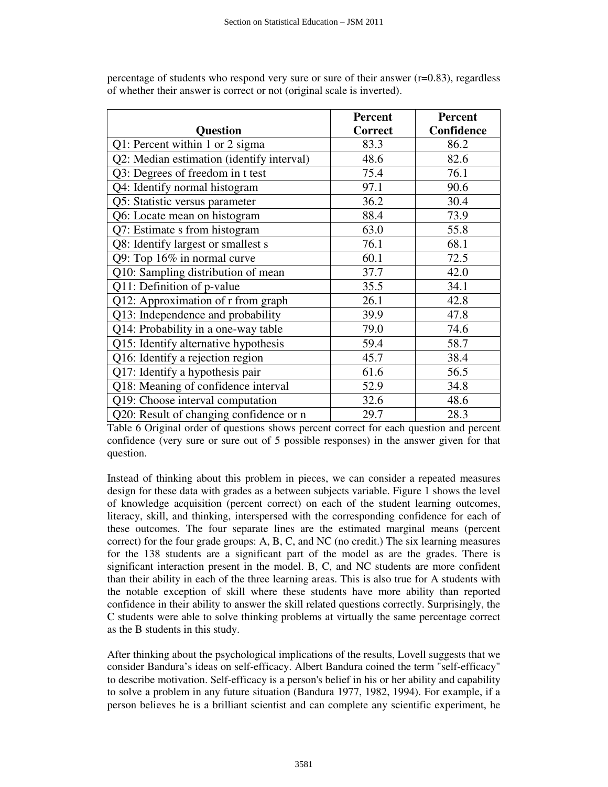|                                                | Percent        | <b>Percent</b> |
|------------------------------------------------|----------------|----------------|
| <b>Ouestion</b>                                | <b>Correct</b> | Confidence     |
| Q1: Percent within 1 or 2 sigma                | 83.3           | 86.2           |
| Q2: Median estimation (identify interval)      | 48.6           | 82.6           |
| Q3: Degrees of freedom in t test               | 75.4           | 76.1           |
| Q4: Identify normal histogram                  | 97.1           | 90.6           |
| Q5: Statistic versus parameter                 | 36.2           | 30.4           |
| Q6: Locate mean on histogram                   | 88.4           | 73.9           |
| Q7: Estimate s from histogram                  | 63.0           | 55.8           |
| Q8: Identify largest or smallest s             | 76.1           | 68.1           |
| Q9: Top 16% in normal curve                    | 60.1           | 72.5           |
| Q10: Sampling distribution of mean             | 37.7           | 42.0           |
| Q11: Definition of p-value                     | 35.5           | 34.1           |
| Q12: Approximation of r from graph             | 26.1           | 42.8           |
| Q13: Independence and probability              | 39.9           | 47.8           |
| Q14: Probability in a one-way table            | 79.0           | 74.6           |
| Q15: Identify alternative hypothesis           | 59.4           | 58.7           |
| Q16: Identify a rejection region               | 45.7           | 38.4           |
| Q17: Identify a hypothesis pair                | 61.6           | 56.5           |
| Q18: Meaning of confidence interval            | 52.9           | 34.8           |
| $\overline{Q19}$ : Choose interval computation | 32.6           | 48.6           |
| Q20: Result of changing confidence or n        | 29.7           | 28.3           |

percentage of students who respond very sure or sure of their answer (r=0.83), regardless of whether their answer is correct or not (original scale is inverted).

Table 6 Original order of questions shows percent correct for each question and percent confidence (very sure or sure out of 5 possible responses) in the answer given for that question.

Instead of thinking about this problem in pieces, we can consider a repeated measures design for these data with grades as a between subjects variable. Figure 1 shows the level of knowledge acquisition (percent correct) on each of the student learning outcomes, literacy, skill, and thinking, interspersed with the corresponding confidence for each of these outcomes. The four separate lines are the estimated marginal means (percent correct) for the four grade groups: A, B, C, and NC (no credit.) The six learning measures for the 138 students are a significant part of the model as are the grades. There is significant interaction present in the model. B, C, and NC students are more confident than their ability in each of the three learning areas. This is also true for A students with the notable exception of skill where these students have more ability than reported confidence in their ability to answer the skill related questions correctly. Surprisingly, the C students were able to solve thinking problems at virtually the same percentage correct as the B students in this study.

After thinking about the psychological implications of the results, Lovell suggests that we consider Bandura's ideas on self-efficacy. Albert Bandura coined the term "self-efficacy" to describe motivation. Self-efficacy is a person's belief in his or her ability and capability to solve a problem in any future situation (Bandura 1977, 1982, 1994). For example, if a person believes he is a brilliant scientist and can complete any scientific experiment, he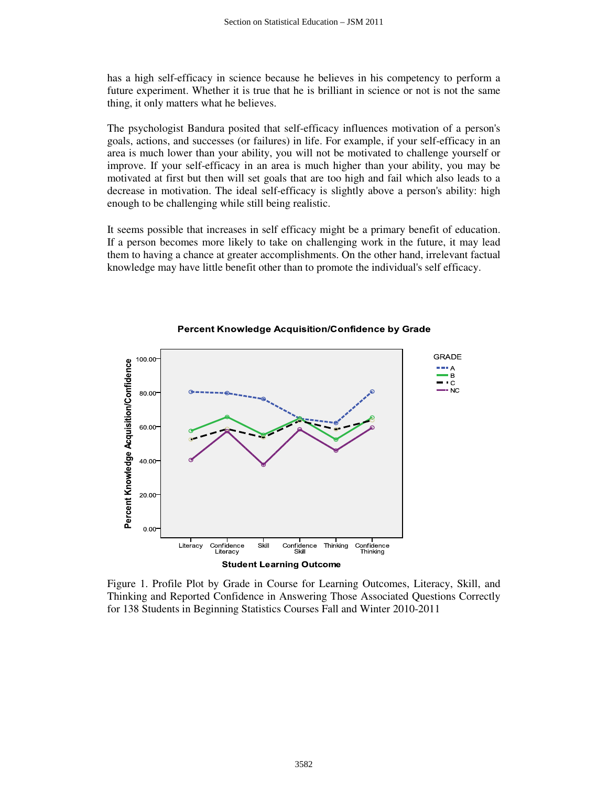has a high self-efficacy in science because he believes in his competency to perform a future experiment. Whether it is true that he is brilliant in science or not is not the same thing, it only matters what he believes.

The psychologist Bandura posited that self-efficacy influences motivation of a person's goals, actions, and successes (or failures) in life. For example, if your self-efficacy in an area is much lower than your ability, you will not be motivated to challenge yourself or improve. If your self-efficacy in an area is much higher than your ability, you may be motivated at first but then will set goals that are too high and fail which also leads to a decrease in motivation. The ideal self-efficacy is slightly above a person's ability: high enough to be challenging while still being realistic.

It seems possible that increases in self efficacy might be a primary benefit of education. If a person becomes more likely to take on challenging work in the future, it may lead them to having a chance at greater accomplishments. On the other hand, irrelevant factual knowledge may have little benefit other than to promote the individual's self efficacy.



**Percent Knowledge Acquisition/Confidence by Grade** 

Figure 1. Profile Plot by Grade in Course for Learning Outcomes, Literacy, Skill, and Thinking and Reported Confidence in Answering Those Associated Questions Correctly for 138 Students in Beginning Statistics Courses Fall and Winter 2010-2011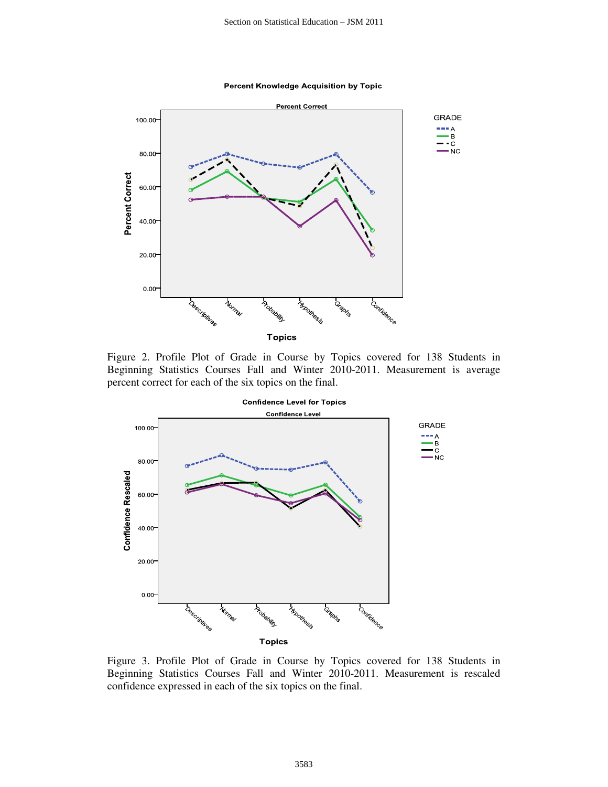**Percent Knowledge Acquisition by Topic** 



Figure 2. Profile Plot of Grade in Course by Topics covered for 138 Students in Beginning Statistics Courses Fall and Winter 2010-2011. Measurement is average percent correct for each of the six topics on the final.



Figure 3. Profile Plot of Grade in Course by Topics covered for 138 Students in Beginning Statistics Courses Fall and Winter 2010-2011. Measurement is rescaled confidence expressed in each of the six topics on the final.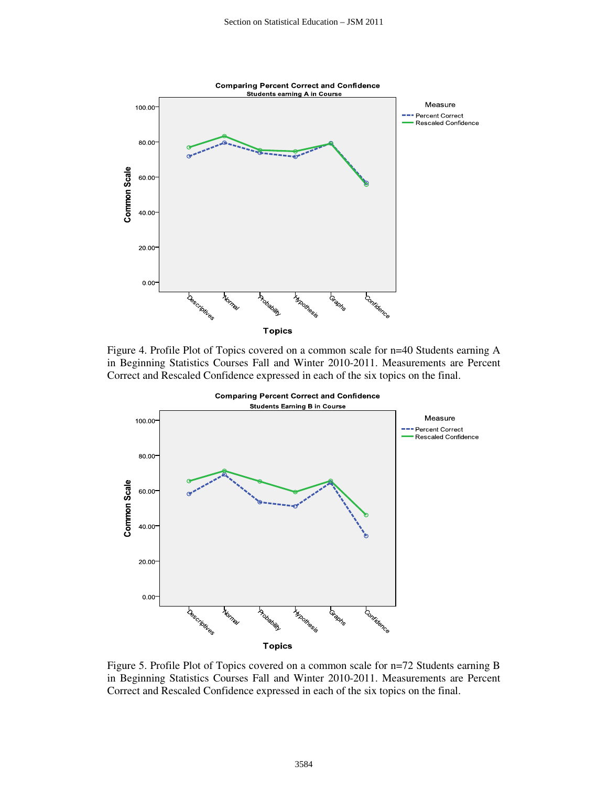

Figure 4. Profile Plot of Topics covered on a common scale for n=40 Students earning A in Beginning Statistics Courses Fall and Winter 2010-2011. Measurements are Percent Correct and Rescaled Confidence expressed in each of the six topics on the final.



Figure 5. Profile Plot of Topics covered on a common scale for n=72 Students earning B in Beginning Statistics Courses Fall and Winter 2010-2011. Measurements are Percent Correct and Rescaled Confidence expressed in each of the six topics on the final.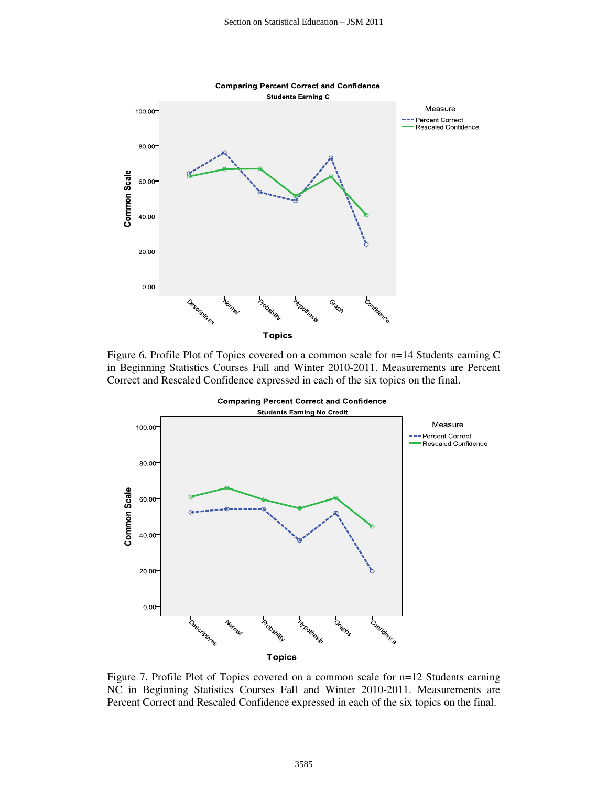

Figure 6. Profile Plot of Topics covered on a common scale for n=14 Students earning C in Beginning Statistics Courses Fall and Winter 2010-2011. Measurements are Percent Correct and Rescaled Confidence expressed in each of the six topics on the final.



Figure 7. Profile Plot of Topics covered on a common scale for n=12 Students earning NC in Beginning Statistics Courses Fall and Winter 2010-2011. Measurements are Percent Correct and Rescaled Confidence expressed in each of the six topics on the final.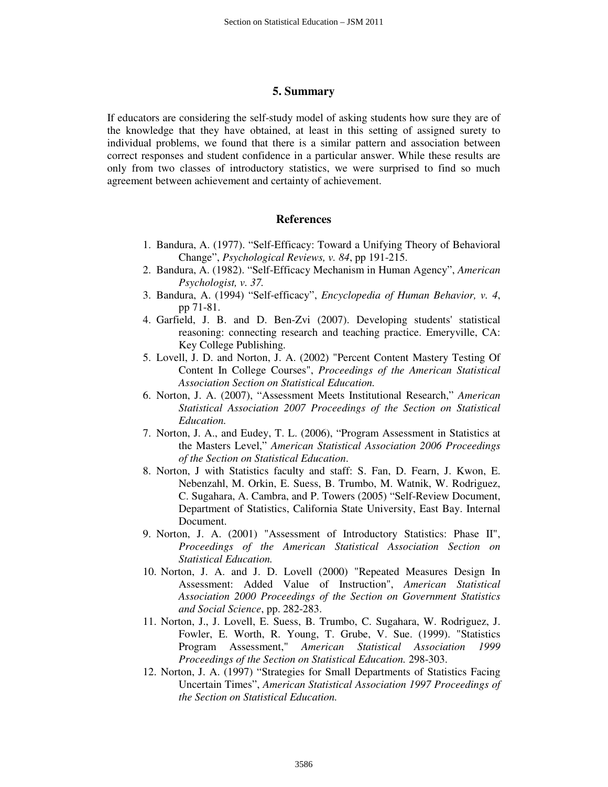#### **5. Summary**

If educators are considering the self-study model of asking students how sure they are of the knowledge that they have obtained, at least in this setting of assigned surety to individual problems, we found that there is a similar pattern and association between correct responses and student confidence in a particular answer. While these results are only from two classes of introductory statistics, we were surprised to find so much agreement between achievement and certainty of achievement.

#### **References**

- 1. Bandura, A. (1977). "Self-Efficacy: Toward a Unifying Theory of Behavioral Change", *Psychological Reviews, v. 84*, pp 191-215.
- 2. Bandura, A. (1982). "Self-Efficacy Mechanism in Human Agency", *American Psychologist, v. 37.*
- 3. Bandura, A. (1994) "Self-efficacy", *Encyclopedia of Human Behavior, v. 4*, pp 71-81.
- 4. Garfield, J. B. and D. Ben-Zvi (2007). Developing students' statistical reasoning: connecting research and teaching practice. Emeryville, CA: Key College Publishing.
- 5. Lovell, J. D. and Norton, J. A. (2002) "Percent Content Mastery Testing Of Content In College Courses", *Proceedings of the American Statistical Association Section on Statistical Education.*
- 6. Norton, J. A. (2007), "Assessment Meets Institutional Research," *American Statistical Association 2007 Proceedings of the Section on Statistical Education.*
- 7. Norton, J. A., and Eudey, T. L. (2006), "Program Assessment in Statistics at the Masters Level," *American Statistical Association 2006 Proceedings of the Section on Statistical Education*.
- 8. Norton, J with Statistics faculty and staff: S. Fan, D. Fearn, J. Kwon, E. Nebenzahl, M. Orkin, E. Suess, B. Trumbo, M. Watnik, W. Rodriguez, C. Sugahara, A. Cambra, and P. Towers (2005) "Self-Review Document, Department of Statistics, California State University, East Bay. Internal Document.
- 9. Norton, J. A. (2001) "Assessment of Introductory Statistics: Phase II", *Proceedings of the American Statistical Association Section on Statistical Education.*
- 10. Norton, J. A. and J. D. Lovell (2000) "Repeated Measures Design In Assessment: Added Value of Instruction", *American Statistical Association 2000 Proceedings of the Section on Government Statistics and Social Science*, pp. 282-283.
- 11. Norton, J., J. Lovell, E. Suess, B. Trumbo, C. Sugahara, W. Rodriguez, J. Fowler, E. Worth, R. Young, T. Grube, V. Sue. (1999). "Statistics Program Assessment," *American Statistical Association 1999 Proceedings of the Section on Statistical Education.* 298-303.
- 12. Norton, J. A. (1997) "Strategies for Small Departments of Statistics Facing Uncertain Times", *American Statistical Association 1997 Proceedings of the Section on Statistical Education.*